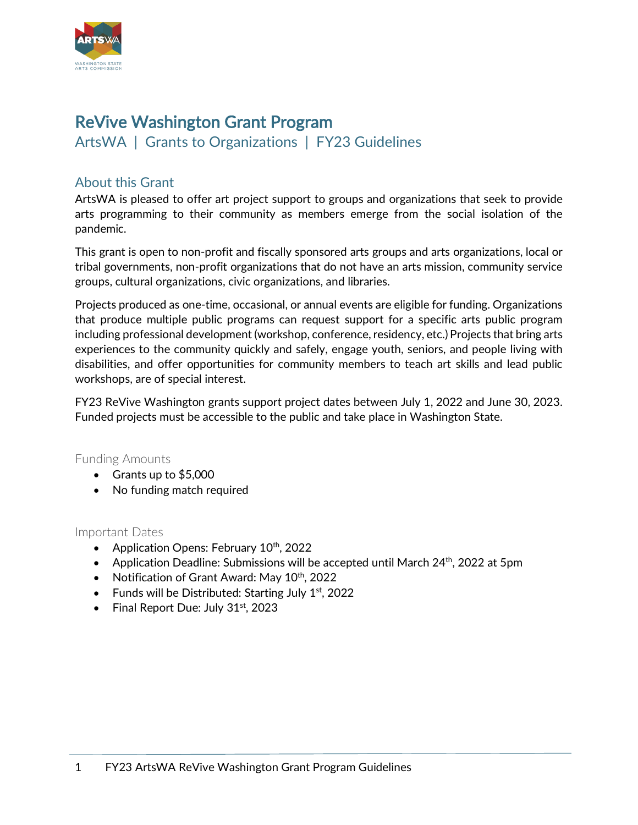

# ReVive Washington Grant Program

ArtsWA | Grants to Organizations | FY23 Guidelines

## About this Grant

ArtsWA is pleased to offer art project support to groups and organizations that seek to provide arts programming to their community as members emerge from the social isolation of the pandemic.

This grant is open to non-profit and fiscally sponsored arts groups and arts organizations, local or tribal governments, non-profit organizations that do not have an arts mission, community service groups, cultural organizations, civic organizations, and libraries.

Projects produced as one-time, occasional, or annual events are eligible for funding. Organizations that produce multiple public programs can request support for a specific arts public program including professional development (workshop, conference, residency, etc.) Projects that bring arts experiences to the community quickly and safely, engage youth, seniors, and people living with disabilities, and offer opportunities for community members to teach art skills and lead public workshops, are of special interest.

FY23 ReVive Washington grants support project dates between July 1, 2022 and June 30, 2023. Funded projects must be accessible to the public and take place in Washington State.

#### Funding Amounts

- Grants up to \$5,000
- No funding match required

#### Important Dates

- Application Opens: February  $10^{th}$ , 2022
- Application Deadline: Submissions will be accepted until March  $24<sup>th</sup>$ , 2022 at 5pm
- Notification of Grant Award: May  $10^{th}$ , 2022
- Funds will be Distributed: Starting July  $1<sup>st</sup>$ , 2022
- Final Report Due: July  $31<sup>st</sup>$ , 2023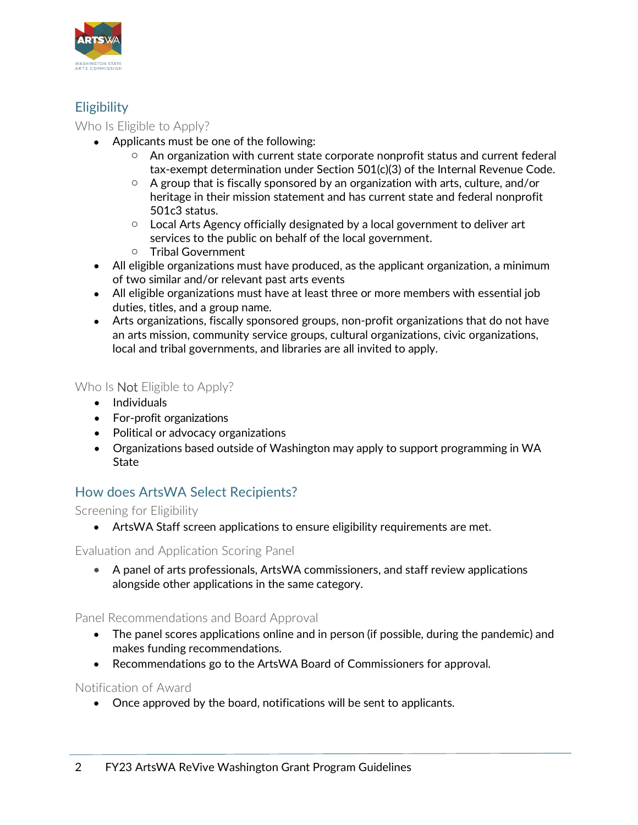

## **Eligibility**

Who Is Eligible to Apply?

- Applicants must be one of the following:
	- $\circ$  An organization with current state corporate nonprofit status and current federal tax-exempt determination under Section 501(c)(3) of the Internal Revenue Code.
	- $\circ$  A group that is fiscally sponsored by an organization with arts, culture, and/or heritage in their mission statement and has current state and federal nonprofit 501c3 status.
	- $\circ$  Local Arts Agency officially designated by a local government to deliver art services to the public on behalf of the local government.
	- o Tribal Government
- All eligible organizations must have produced, as the applicant organization, a minimum of two similar and/or relevant past arts events
- All eligible organizations must have at least three or more members with essential job duties, titles, and a group name.
- Arts organizations, fiscally sponsored groups, non-profit organizations that do not have an arts mission, community service groups, cultural organizations, civic organizations, local and tribal governments, and libraries are all invited to apply.

Who Is **Not** Eligible to Apply?

- Individuals
- For-profit organizations
- Political or advocacy organizations
- Organizations based outside of Washington may apply to support programming in WA **State**

## How does ArtsWA Select Recipients?

Screening for Eligibility

• ArtsWA Staff screen applications to ensure eligibility requirements are met.

Evaluation and Application Scoring Panel

• A panel of arts professionals, ArtsWA commissioners, and staff review applications alongside other applications in the same category.

Panel Recommendations and Board Approval

- The panel scores applications online and in person (if possible, during the pandemic) and makes funding recommendations.
- Recommendations go to the ArtsWA Board of Commissioners for approval.

### Notification of Award

• Once approved by the board, notifications will be sent to applicants.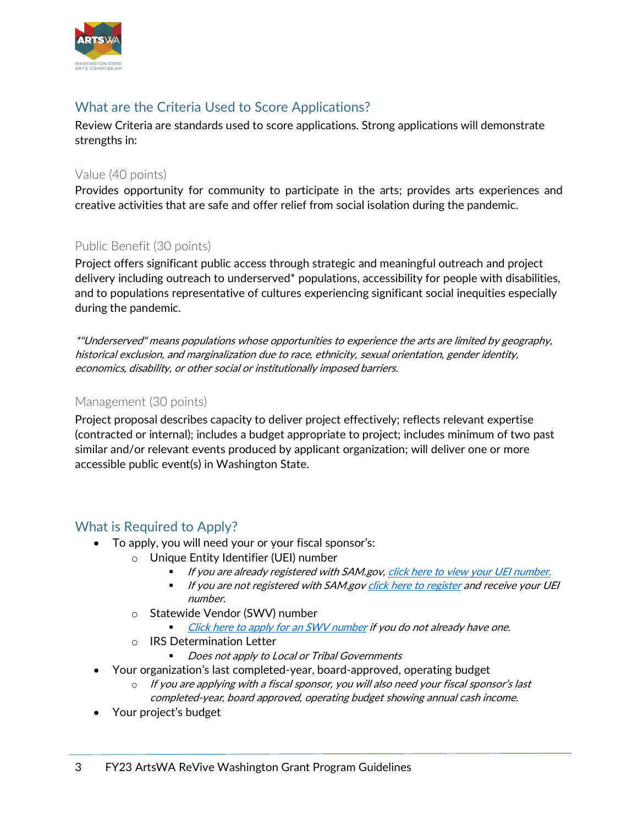

## What are the Criteria Used to Score Applications?

Review Criteria are standards used to score applications. Strong applications will demonstrate strengths in:

#### Value (40 points)

Provides opportunity for community to participate in the arts; provides arts experiences and creative activities that are safe and offer relief from social isolation during the pandemic.

### Public Benefit (30 points)

Project offers significant public access through strategic and meaningful outreach and project delivery including outreach to underserved\* populations, accessibility for people with disabilities, and to populations representative of cultures experiencing significant social inequities especially during the pandemic.

\*"Underserved" means populations whose opportunities to experience the arts are limited by geography, historical exclusion, and marginalization due to race, ethnicity, sexual orientation, gender identity, economics, disability, or other social or institutionally imposed barriers.

### Management (30 points)

Project proposal describes capacity to deliver project effectively; reflects relevant expertise (contracted or internal); includes a budget appropriate to project; includes minimum of two past similar and/or relevant events produced by applicant organization; will deliver one or more accessible public event(s) in Washington State.

### What is Required to Apply?

- To apply, you will need your or your fiscal sponsor's:
	- o Unique Entity Identifier (UEI) number
		- If you are already registered with SAM.gov, [click here to view your UEI number.](https://www.fsd.gov/gsafsd_sp?id=kb_article_view&sysparm_article=KB0041254&sys_kb_id=a05adbae1b59f8982fe5ed7ae54bcbba&spa=1)
		- **If you are not registered with SAM.gov** click here to register and receive your UEI number.
	- o Statewide Vendor (SWV) number
		- [Click here to apply for an SWV number](https://ofm.wa.gov/it-systems/accounting-systems/statewide-vendorpayee-services/statewide-vendor-number-lookup?name=mid-columbia+mastersingers&addrLineOne=&city=&state=&zip=) if you do not already have one.
	- o IRS Determination Letter
		- Does not apply to Local or Tribal Governments
- Your organization's last completed-year, board-approved, operating budget
	- o If you are applying with a fiscal sponsor, you will also need your fiscal sponsor's last completed-year, board approved, operating budget showing annual cash income.
- Your project's budget